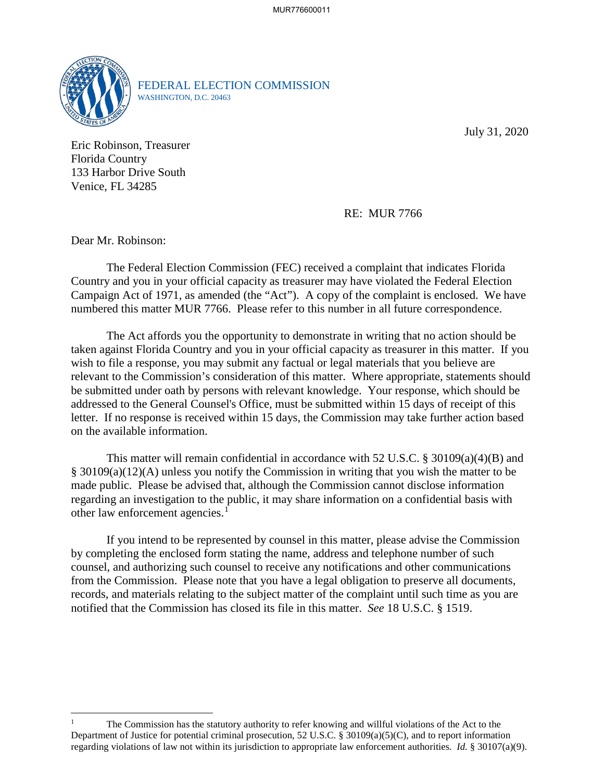

FEDERAL ELECTION COMMISSION WASHINGTON, D.C. 20463

July 31, 2020

Eric Robinson, Treasurer Florida Country 133 Harbor Drive South Venice, FL 34285

RE: MUR 7766

Dear Mr. Robinson:

 $\overline{a}$ 

 Campaign Act of 1971, as amended (the "Act"). A copy of the complaint is enclosed. We have The Federal Election Commission (FEC) received a complaint that indicates Florida Country and you in your official capacity as treasurer may have violated the Federal Election numbered this matter MUR 7766. Please refer to this number in all future correspondence.

 The Act affords you the opportunity to demonstrate in writing that no action should be taken against Florida Country and you in your official capacity as treasurer in this matter. If you addressed to the General Counsel's Office, must be submitted within 15 days of receipt of this wish to file a response, you may submit any factual or legal materials that you believe are relevant to the Commission's consideration of this matter. Where appropriate, statements should be submitted under oath by persons with relevant knowledge. Your response, which should be letter. If no response is received within 15 days, the Commission may take further action based on the available information.

This matter will remain confidential in accordance with 52 U.S.C. § 30109(a)(4)(B) and § 30109(a)(12)(A) unless you notify the Commission in writing that you wish the matter to be made public. Please be advised that, although the Commission cannot disclose information regarding an investigation to the public, it may share information on a confidential basis with other law enforcement agencies.<sup>1</sup>

 If you intend to be represented by counsel in this matter, please advise the Commission from the Commission. Please note that you have a legal obligation to preserve all documents, records, and materials relating to the subject matter of the complaint until such time as you are notified that the Commission has closed its file in this matter. *See* 18 U.S.C. § 1519. by completing the enclosed form stating the name, address and telephone number of such counsel, and authorizing such counsel to receive any notifications and other communications

 regarding violations of law not within its jurisdiction to appropriate law enforcement authorities. *Id.* § 30107(a)(9). The Commission has the statutory authority to refer knowing and willful violations of the Act to the Department of Justice for potential criminal prosecution, 52 U.S.C. § 30109(a)(5)(C), and to report information 1